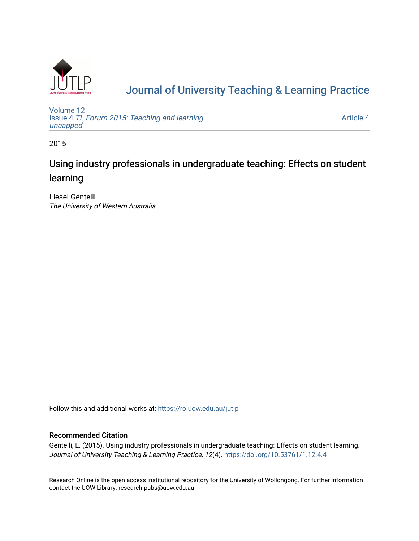

# [Journal of University Teaching & Learning Practice](https://ro.uow.edu.au/jutlp)

[Volume 12](https://ro.uow.edu.au/jutlp/vol12) Issue 4 [TL Forum 2015: Teaching and learning](https://ro.uow.edu.au/jutlp/vol12/iss4)  [uncapped](https://ro.uow.edu.au/jutlp/vol12/iss4)

[Article 4](https://ro.uow.edu.au/jutlp/vol12/iss4/4) 

2015

# Using industry professionals in undergraduate teaching: Effects on student learning

Liesel Gentelli The University of Western Australia

Follow this and additional works at: [https://ro.uow.edu.au/jutlp](https://ro.uow.edu.au/jutlp?utm_source=ro.uow.edu.au%2Fjutlp%2Fvol12%2Fiss4%2F4&utm_medium=PDF&utm_campaign=PDFCoverPages) 

## Recommended Citation

Gentelli, L. (2015). Using industry professionals in undergraduate teaching: Effects on student learning. Journal of University Teaching & Learning Practice, 12(4). <https://doi.org/10.53761/1.12.4.4>

Research Online is the open access institutional repository for the University of Wollongong. For further information contact the UOW Library: research-pubs@uow.edu.au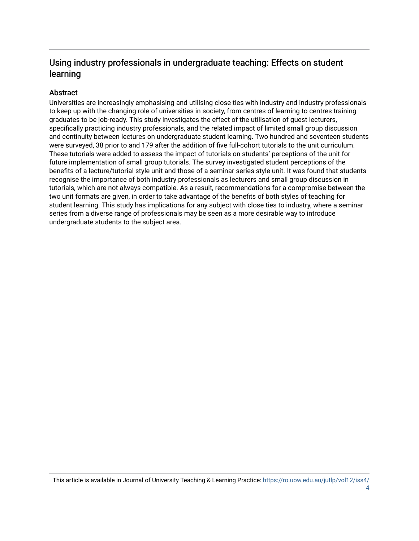# Using industry professionals in undergraduate teaching: Effects on student learning

# **Abstract**

Universities are increasingly emphasising and utilising close ties with industry and industry professionals to keep up with the changing role of universities in society, from centres of learning to centres training graduates to be job-ready. This study investigates the effect of the utilisation of guest lecturers, specifically practicing industry professionals, and the related impact of limited small group discussion and continuity between lectures on undergraduate student learning. Two hundred and seventeen students were surveyed, 38 prior to and 179 after the addition of five full-cohort tutorials to the unit curriculum. These tutorials were added to assess the impact of tutorials on students' perceptions of the unit for future implementation of small group tutorials. The survey investigated student perceptions of the benefits of a lecture/tutorial style unit and those of a seminar series style unit. It was found that students recognise the importance of both industry professionals as lecturers and small group discussion in tutorials, which are not always compatible. As a result, recommendations for a compromise between the two unit formats are given, in order to take advantage of the benefits of both styles of teaching for student learning. This study has implications for any subject with close ties to industry, where a seminar series from a diverse range of professionals may be seen as a more desirable way to introduce undergraduate students to the subject area.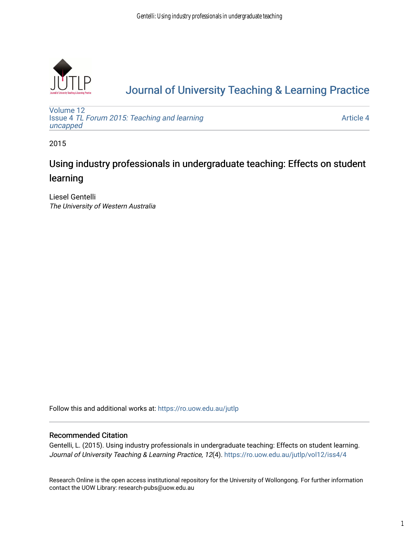

# [Journal of University Teaching & Learning Practice](https://ro.uow.edu.au/jutlp)

[Volume 12](https://ro.uow.edu.au/jutlp/vol12) Issue 4 [TL Forum 2015: Teaching and learning](https://ro.uow.edu.au/jutlp/vol12/iss4)  [uncapped](https://ro.uow.edu.au/jutlp/vol12/iss4)

[Article 4](https://ro.uow.edu.au/jutlp/vol12/iss4/4) 

2015

# Using industry professionals in undergraduate teaching: Effects on student learning

Liesel Gentelli The University of Western Australia

Follow this and additional works at: [https://ro.uow.edu.au/jutlp](https://ro.uow.edu.au/jutlp?utm_source=ro.uow.edu.au%2Fjutlp%2Fvol12%2Fiss4%2F4&utm_medium=PDF&utm_campaign=PDFCoverPages) 

## Recommended Citation

Gentelli, L. (2015). Using industry professionals in undergraduate teaching: Effects on student learning. Journal of University Teaching & Learning Practice, 12(4). [https://ro.uow.edu.au/jutlp/vol12/iss4/4](https://ro.uow.edu.au/jutlp/vol12/iss4/4?utm_source=ro.uow.edu.au%2Fjutlp%2Fvol12%2Fiss4%2F4&utm_medium=PDF&utm_campaign=PDFCoverPages) 

Research Online is the open access institutional repository for the University of Wollongong. For further information contact the UOW Library: research-pubs@uow.edu.au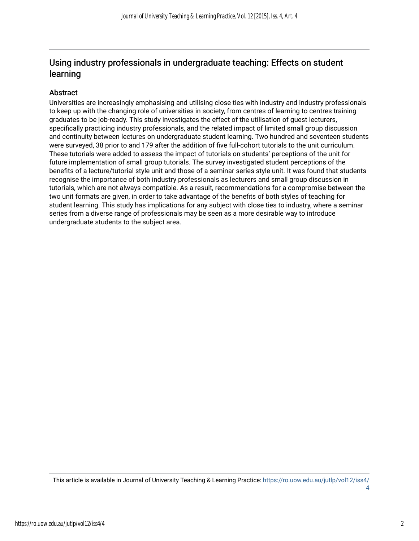# Using industry professionals in undergraduate teaching: Effects on student learning

# Abstract

Universities are increasingly emphasising and utilising close ties with industry and industry professionals to keep up with the changing role of universities in society, from centres of learning to centres training graduates to be job-ready. This study investigates the effect of the utilisation of guest lecturers, specifically practicing industry professionals, and the related impact of limited small group discussion and continuity between lectures on undergraduate student learning. Two hundred and seventeen students were surveyed, 38 prior to and 179 after the addition of five full-cohort tutorials to the unit curriculum. These tutorials were added to assess the impact of tutorials on students' perceptions of the unit for future implementation of small group tutorials. The survey investigated student perceptions of the benefits of a lecture/tutorial style unit and those of a seminar series style unit. It was found that students recognise the importance of both industry professionals as lecturers and small group discussion in tutorials, which are not always compatible. As a result, recommendations for a compromise between the two unit formats are given, in order to take advantage of the benefits of both styles of teaching for student learning. This study has implications for any subject with close ties to industry, where a seminar series from a diverse range of professionals may be seen as a more desirable way to introduce undergraduate students to the subject area.

This article is available in Journal of University Teaching & Learning Practice: [https://ro.uow.edu.au/jutlp/vol12/iss4/](https://ro.uow.edu.au/jutlp/vol12/iss4/4) [4](https://ro.uow.edu.au/jutlp/vol12/iss4/4)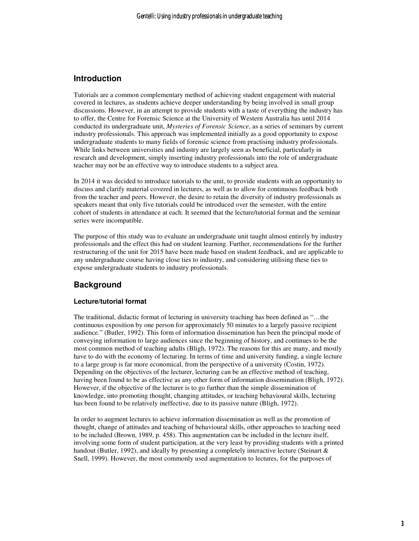# **Introduction**

Tutorials are a common complementary method of achieving student engagement with material covered in lectures, as students achieve deeper understanding by being involved in small group discussions. However, in an attempt to provide students with a taste of everything the industry has to offer, the Centre for Forensic Science at the University of Western Australia has until 2014 conducted its undergraduate unit, *Mysteries of Forensic Science*, as a series of seminars by current industry professionals. This approach was implemented initially as a good opportunity to expose undergraduate students to many fields of forensic science from practising industry professionals. While links between universities and industry are largely seen as beneficial, particularly in research and development, simply inserting industry professionals into the role of undergraduate teacher may not be an effective way to introduce students to a subject area.

In 2014 it was decided to introduce tutorials to the unit, to provide students with an opportunity to discuss and clarify material covered in lectures, as well as to allow for continuous feedback both from the teacher and peers. However, the desire to retain the diversity of industry professionals as speakers meant that only five tutorials could be introduced over the semester, with the entire cohort of students in attendance at each. It seemed that the lecture/tutorial format and the seminar series were incompatible.

The purpose of this study was to evaluate an undergraduate unit taught almost entirely by industry professionals and the effect this had on student learning. Further, recommendations for the further restructuring of the unit for 2015 have been made based on student feedback, and are applicable to any undergraduate course having close ties to industry, and considering utilising these ties to expose undergraduate students to industry professionals.

# **Background**

### **Lecture/tutorial format**

The traditional, didactic format of lecturing in university teaching has been defined as "…the continuous exposition by one person for approximately 50 minutes to a largely passive recipient audience." (Butler, 1992). This form of information dissemination has been the principal mode of conveying information to large audiences since the beginning of history, and continues to be the most common method of teaching adults (Bligh, 1972). The reasons for this are many, and mostly have to do with the economy of lecturing. In terms of time and university funding, a single lecture to a large group is far more economical, from the perspective of a university (Costin, 1972). Depending on the objectives of the lecturer, lecturing can be an effective method of teaching, having been found to be as effective as any other form of information dissemination (Bligh, 1972). However, if the objective of the lecturer is to go further than the simple dissemination of knowledge, into promoting thought, changing attitudes, or teaching behavioural skills, lecturing has been found to be relatively ineffective, due to its passive nature (Bligh, 1972).

In order to augment lectures to achieve information dissemination as well as the promotion of thought, change of attitudes and teaching of behavioural skills, other approaches to teaching need to be included (Brown, 1989, p. 458). This augmentation can be included in the lecture itself, involving some form of student participation, at the very least by providing students with a printed handout (Butler, 1992), and ideally by presenting a completely interactive lecture (Steinart & Snell, 1999). However, the most commonly used augmentation to lectures, for the purposes of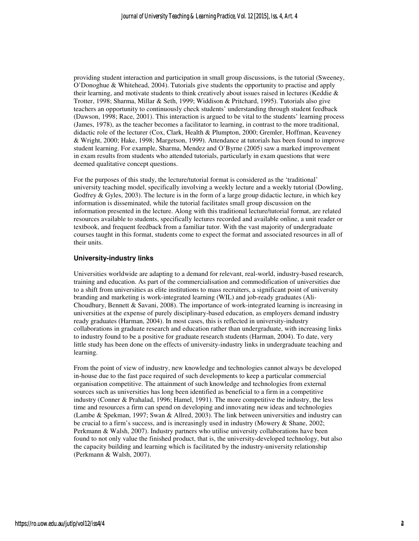providing student interaction and participation in small group discussions, is the tutorial (Sweeney, O'Donoghue & Whitehead, 2004). Tutorials give students the opportunity to practise and apply their learning, and motivate students to think creatively about issues raised in lectures (Keddie & Trotter, 1998; Sharma, Millar & Seth, 1999; Widdison & Pritchard, 1995). Tutorials also give teachers an opportunity to continuously check students' understanding through student feedback (Dawson, 1998; Race, 2001). This interaction is argued to be vital to the students' learning process (James, 1978), as the teacher becomes a facilitator to learning, in contrast to the more traditional, didactic role of the lecturer (Cox, Clark, Health & Plumpton, 2000; Gremler, Hoffman, Keaveney & Wright, 2000; Hake, 1998; Margetson, 1999). Attendance at tutorials has been found to improve student learning. For example, Sharma, Mendez and O'Byrne (2005) saw a marked improvement in exam results from students who attended tutorials, particularly in exam questions that were deemed qualitative concept questions.

For the purposes of this study, the lecture/tutorial format is considered as the 'traditional' university teaching model, specifically involving a weekly lecture and a weekly tutorial (Dowling, Godfrey & Gyles, 2003). The lecture is in the form of a large group didactic lecture, in which key information is disseminated, while the tutorial facilitates small group discussion on the information presented in the lecture. Along with this traditional lecture/tutorial format, are related resources available to students, specifically lectures recorded and available online, a unit reader or textbook, and frequent feedback from a familiar tutor. With the vast majority of undergraduate courses taught in this format, students come to expect the format and associated resources in all of their units.

#### **University-industry links**

Universities worldwide are adapting to a demand for relevant, real-world, industry-based research, training and education. As part of the commercialisation and commodification of universities due to a shift from universities as elite institutions to mass recruiters, a significant point of university branding and marketing is work-integrated learning (WIL) and job-ready graduates (Ali-Choudhury, Bennett & Savani, 2008). The importance of work-integrated learning is increasing in universities at the expense of purely disciplinary-based education, as employers demand industry ready graduates (Harman, 2004). In most cases, this is reflected in university-industry collaborations in graduate research and education rather than undergraduate, with increasing links to industry found to be a positive for graduate research students (Harman, 2004). To date, very little study has been done on the effects of university-industry links in undergraduate teaching and learning.

From the point of view of industry, new knowledge and technologies cannot always be developed in-house due to the fast pace required of such developments to keep a particular commercial organisation competitive. The attainment of such knowledge and technologies from external sources such as universities has long been identified as beneficial to a firm in a competitive industry (Conner & Prahalad, 1996; Hamel, 1991). The more competitive the industry, the less time and resources a firm can spend on developing and innovating new ideas and technologies (Lambe & Spekman, 1997; Swan & Allred, 2003). The link between universities and industry can be crucial to a firm's success, and is increasingly used in industry (Mowery & Shane, 2002; Perkmann & Walsh, 2007). Industry partners who utilise university collaborations have been found to not only value the finished product, that is, the university-developed technology, but also the capacity building and learning which is facilitated by the industry-university relationship (Perkmann & Walsh, 2007).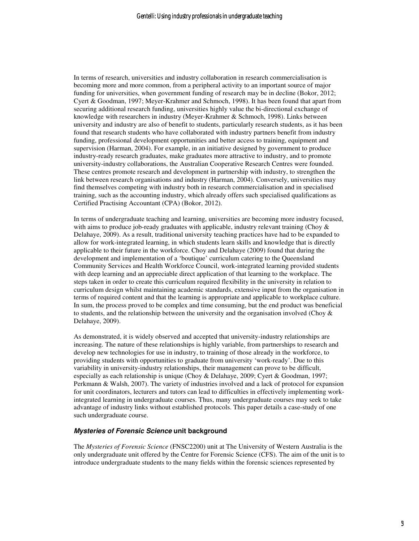In terms of research, universities and industry collaboration in research commercialisation is becoming more and more common, from a peripheral activity to an important source of major funding for universities, when government funding of research may be in decline (Bokor, 2012; Cyert & Goodman, 1997; Meyer-Krahmer and Schmoch, 1998). It has been found that apart from securing additional research funding, universities highly value the bi-directional exchange of knowledge with researchers in industry (Meyer-Krahmer & Schmoch, 1998). Links between university and industry are also of benefit to students, particularly research students, as it has been found that research students who have collaborated with industry partners benefit from industry funding, professional development opportunities and better access to training, equipment and supervision (Harman, 2004). For example, in an initiative designed by government to produce industry-ready research graduates, make graduates more attractive to industry, and to promote university-industry collaborations, the Australian Cooperative Research Centres were founded. These centres promote research and development in partnership with industry, to strengthen the link between research organisations and industry (Harman, 2004). Conversely, universities may find themselves competing with industry both in research commercialisation and in specialised training, such as the accounting industry, which already offers such specialised qualifications as Certified Practising Accountant (CPA) (Bokor, 2012).

In terms of undergraduate teaching and learning, universities are becoming more industry focused, with aims to produce job-ready graduates with applicable, industry relevant training (Choy  $\&$ Delahaye, 2009). As a result, traditional university teaching practices have had to be expanded to allow for work-integrated learning, in which students learn skills and knowledge that is directly applicable to their future in the workforce. Choy and Delahaye (2009) found that during the development and implementation of a 'boutique' curriculum catering to the Queensland Community Services and Health Workforce Council, work-integrated learning provided students with deep learning and an appreciable direct application of that learning to the workplace. The steps taken in order to create this curriculum required flexibility in the university in relation to curriculum design whilst maintaining academic standards, extensive input from the organisation in terms of required content and that the learning is appropriate and applicable to workplace culture. In sum, the process proved to be complex and time consuming, but the end product was beneficial to students, and the relationship between the university and the organisation involved (Choy  $\&$ Delahaye, 2009).

As demonstrated, it is widely observed and accepted that university-industry relationships are increasing. The nature of these relationships is highly variable, from partnerships to research and develop new technologies for use in industry, to training of those already in the workforce, to providing students with opportunities to graduate from university 'work-ready'. Due to this variability in university-industry relationships, their management can prove to be difficult, especially as each relationship is unique (Choy & Delahaye, 2009; Cyert & Goodman, 1997; Perkmann & Walsh, 2007). The variety of industries involved and a lack of protocol for expansion for unit coordinators, lecturers and tutors can lead to difficulties in effectively implementing workintegrated learning in undergraduate courses. Thus, many undergraduate courses may seek to take advantage of industry links without established protocols. This paper details a case-study of one such undergraduate course.

#### **Mysteries of Forensic Science unit background**

The *Mysteries of Forensic Science* (FNSC2200) unit at The University of Western Australia is the only undergraduate unit offered by the Centre for Forensic Science (CFS). The aim of the unit is to introduce undergraduate students to the many fields within the forensic sciences represented by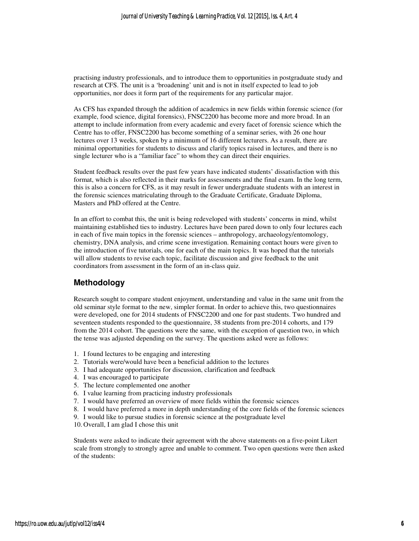practising industry professionals, and to introduce them to opportunities in postgraduate study and research at CFS. The unit is a 'broadening' unit and is not in itself expected to lead to job opportunities, nor does it form part of the requirements for any particular major.

As CFS has expanded through the addition of academics in new fields within forensic science (for example, food science, digital forensics), FNSC2200 has become more and more broad. In an attempt to include information from every academic and every facet of forensic science which the Centre has to offer, FNSC2200 has become something of a seminar series, with 26 one hour lectures over 13 weeks, spoken by a minimum of 16 different lecturers. As a result, there are minimal opportunities for students to discuss and clarify topics raised in lectures, and there is no single lecturer who is a "familiar face" to whom they can direct their enquiries.

Student feedback results over the past few years have indicated students' dissatisfaction with this format, which is also reflected in their marks for assessments and the final exam. In the long term, this is also a concern for CFS, as it may result in fewer undergraduate students with an interest in the forensic sciences matriculating through to the Graduate Certificate, Graduate Diploma, Masters and PhD offered at the Centre.

In an effort to combat this, the unit is being redeveloped with students' concerns in mind, whilst maintaining established ties to industry. Lectures have been pared down to only four lectures each in each of five main topics in the forensic sciences – anthropology, archaeology/entomology, chemistry, DNA analysis, and crime scene investigation. Remaining contact hours were given to the introduction of five tutorials, one for each of the main topics. It was hoped that the tutorials will allow students to revise each topic, facilitate discussion and give feedback to the unit coordinators from assessment in the form of an in-class quiz.

### **Methodology**

Research sought to compare student enjoyment, understanding and value in the same unit from the old seminar style format to the new, simpler format. In order to achieve this, two questionnaires were developed, one for 2014 students of FNSC2200 and one for past students. Two hundred and seventeen students responded to the questionnaire, 38 students from pre-2014 cohorts, and 179 from the 2014 cohort. The questions were the same, with the exception of question two, in which the tense was adjusted depending on the survey. The questions asked were as follows:

- 1. I found lectures to be engaging and interesting
- 2. Tutorials were/would have been a beneficial addition to the lectures
- 3. I had adequate opportunities for discussion, clarification and feedback
- 4. I was encouraged to participate
- 5. The lecture complemented one another
- 6. I value learning from practicing industry professionals
- 7. I would have preferred an overview of more fields within the forensic sciences
- 8. I would have preferred a more in depth understanding of the core fields of the forensic sciences
- 9. I would like to pursue studies in forensic science at the postgraduate level
- 10. Overall, I am glad I chose this unit

Students were asked to indicate their agreement with the above statements on a five-point Likert scale from strongly to strongly agree and unable to comment. Two open questions were then asked of the students: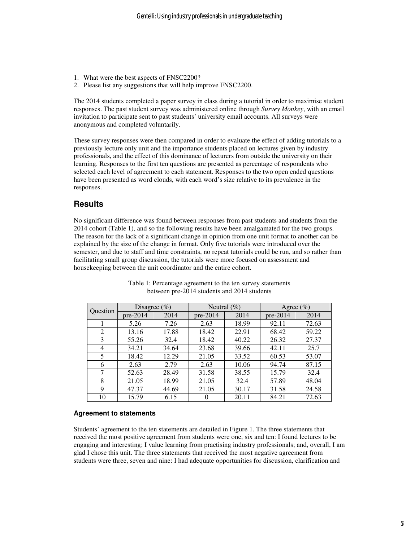- 1. What were the best aspects of FNSC2200?
- 2. Please list any suggestions that will help improve FNSC2200.

The 2014 students completed a paper survey in class during a tutorial in order to maximise student responses. The past student survey was administered online through *Survey Monkey*, with an email invitation to participate sent to past students' university email accounts. All surveys were anonymous and completed voluntarily.

These survey responses were then compared in order to evaluate the effect of adding tutorials to a previously lecture only unit and the importance students placed on lectures given by industry professionals, and the effect of this dominance of lecturers from outside the university on their learning. Responses to the first ten questions are presented as percentage of respondents who selected each level of agreement to each statement. Responses to the two open ended questions have been presented as word clouds, with each word's size relative to its prevalence in the responses.

## **Results**

No significant difference was found between responses from past students and students from the 2014 cohort (Table 1), and so the following results have been amalgamated for the two groups. The reason for the lack of a significant change in opinion from one unit format to another can be explained by the size of the change in format. Only five tutorials were introduced over the semester, and due to staff and time constraints, no repeat tutorials could be run, and so rather than facilitating small group discussion, the tutorials were more focused on assessment and housekeeping between the unit coordinator and the entire cohort.

| Question       | Disagree $(\% )$ |       | Neutral $(\% )$ |       | Agree $(\% )$ |       |
|----------------|------------------|-------|-----------------|-------|---------------|-------|
|                | $pre-2014$       | 2014  | $pre-2014$      | 2014  | $pre-2014$    | 2014  |
|                | 5.26             | 7.26  | 2.63            | 18.99 | 92.11         | 72.63 |
| 2              | 13.16            | 17.88 | 18.42           | 22.91 | 68.42         | 59.22 |
| 3              | 55.26            | 32.4  | 18.42           | 40.22 | 26.32         | 27.37 |
| $\overline{4}$ | 34.21            | 34.64 | 23.68           | 39.66 | 42.11         | 25.7  |
| 5              | 18.42            | 12.29 | 21.05           | 33.52 | 60.53         | 53.07 |
| 6              | 2.63             | 2.79  | 2.63            | 10.06 | 94.74         | 87.15 |
| 7              | 52.63            | 28.49 | 31.58           | 38.55 | 15.79         | 32.4  |
| 8              | 21.05            | 18.99 | 21.05           | 32.4  | 57.89         | 48.04 |
| 9              | 47.37            | 44.69 | 21.05           | 30.17 | 31.58         | 24.58 |
| 10             | 15.79            | 6.15  | $\Omega$        | 20.11 | 84.21         | 72.63 |

Table 1: Percentage agreement to the ten survey statements between pre-2014 students and 2014 students

#### **Agreement to statements**

Students' agreement to the ten statements are detailed in Figure 1. The three statements that received the most positive agreement from students were one, six and ten: I found lectures to be engaging and interesting; I value learning from practising industry professionals; and, overall, I am glad I chose this unit. The three statements that received the most negative agreement from students were three, seven and nine: I had adequate opportunities for discussion, clarification and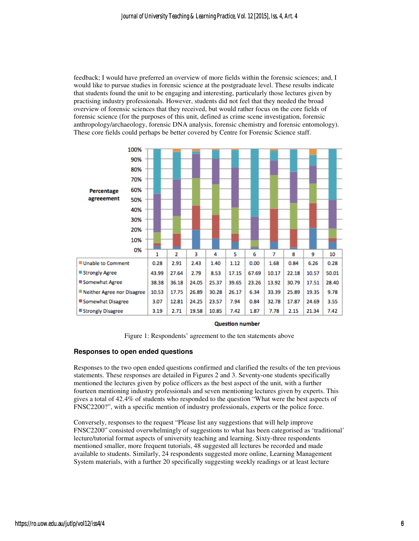feedback; I would have preferred an overview of more fields within the forensic sciences; and, I would like to pursue studies in forensic science at the postgraduate level. These results indicate that students found the unit to be engaging and interesting, particularly those lectures given by practising industry professionals. However, students did not feel that they needed the broad overview of forensic sciences that they received, but would rather focus on the core fields of forensic science (for the purposes of this unit, defined as crime scene investigation, forensic anthropology/archaeology, forensic DNA analysis, forensic chemistry and forensic entomology). These core fields could perhaps be better covered by Centre for Forensic Science staff.



#### **Question number**

Figure 1: Respondents' agreement to the ten statements above

#### **Responses to open ended questions**

Responses to the two open ended questions confirmed and clarified the results of the ten previous statements. These responses are detailed in Figures 2 and 3. Seventy-one students specifically mentioned the lectures given by police officers as the best aspect of the unit, with a further fourteen mentioning industry professionals and seven mentioning lectures given by experts. This gives a total of 42.4% of students who responded to the question "What were the best aspects of FNSC2200?", with a specific mention of industry professionals, experts or the police force.

Conversely, responses to the request "Please list any suggestions that will help improve FNSC2200" consisted overwhelmingly of suggestions to what has been categorised as 'traditional' lecture/tutorial format aspects of university teaching and learning. Sixty-three respondents mentioned smaller, more frequent tutorials, 48 suggested all lectures be recorded and made available to students. Similarly, 24 respondents suggested more online, Learning Management System materials, with a further 20 specifically suggesting weekly readings or at least lecture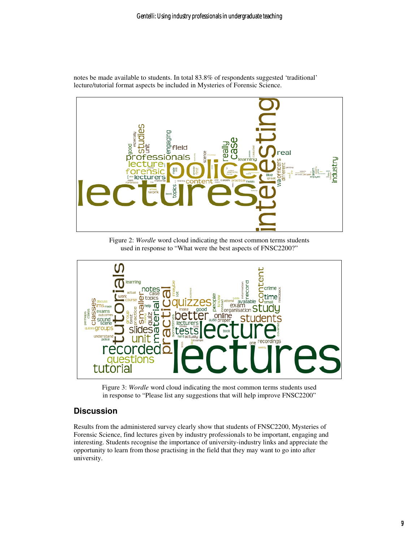

notes be made available to students. In total 83.8% of respondents suggested 'traditional' lecture/tutorial format aspects be included in Mysteries of Forensic Science.

Figure 2: *Wordle* word cloud indicating the most common terms students used in response to "What were the best aspects of FNSC2200?"



Figure 3: *Wordle* word cloud indicating the most common terms students used in response to "Please list any suggestions that will help improve FNSC2200"

# **Discussion**

Results from the administered survey clearly show that students of FNSC2200, Mysteries of Forensic Science, find lectures given by industry professionals to be important, engaging and interesting. Students recognise the importance of university-industry links and appreciate the opportunity to learn from those practising in the field that they may want to go into after university.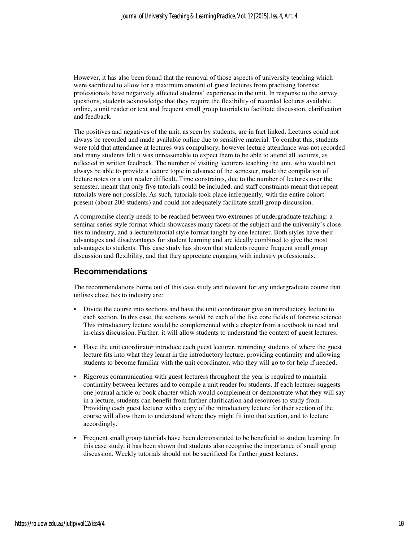However, it has also been found that the removal of those aspects of university teaching which were sacrificed to allow for a maximum amount of guest lectures from practising forensic professionals have negatively affected students' experience in the unit. In response to the survey questions, students acknowledge that they require the flexibility of recorded lectures available online, a unit reader or text and frequent small group tutorials to facilitate discussion, clarification and feedback.

The positives and negatives of the unit, as seen by students, are in fact linked. Lectures could not always be recorded and made available online due to sensitive material. To combat this, students were told that attendance at lectures was compulsory, however lecture attendance was not recorded and many students felt it was unreasonable to expect them to be able to attend all lectures, as reflected in written feedback. The number of visiting lecturers teaching the unit, who would not always be able to provide a lecture topic in advance of the semester, made the compilation of lecture notes or a unit reader difficult. Time constraints, due to the number of lectures over the semester, meant that only five tutorials could be included, and staff constraints meant that repeat tutorials were not possible. As such, tutorials took place infrequently, with the entire cohort present (about 200 students) and could not adequately facilitate small group discussion.

A compromise clearly needs to be reached between two extremes of undergraduate teaching: a seminar series style format which showcases many facets of the subject and the university's close ties to industry, and a lecture/tutorial style format taught by one lecturer. Both styles have their advantages and disadvantages for student learning and are ideally combined to give the most advantages to students. This case study has shown that students require frequent small group discussion and flexibility, and that they appreciate engaging with industry professionals.

### **Recommendations**

The recommendations borne out of this case study and relevant for any undergraduate course that utilises close ties to industry are:

- Divide the course into sections and have the unit coordinator give an introductory lecture to each section. In this case, the sections would be each of the five core fields of forensic science. This introductory lecture would be complemented with a chapter from a textbook to read and in-class discussion. Further, it will allow students to understand the context of guest lectures.
- Have the unit coordinator introduce each guest lecturer, reminding students of where the guest lecture fits into what they learnt in the introductory lecture, providing continuity and allowing students to become familiar with the unit coordinator, who they will go to for help if needed.
- Rigorous communication with guest lecturers throughout the year is required to maintain continuity between lectures and to compile a unit reader for students. If each lecturer suggests one journal article or book chapter which would complement or demonstrate what they will say in a lecture, students can benefit from further clarification and resources to study from. Providing each guest lecturer with a copy of the introductory lecture for their section of the course will allow them to understand where they might fit into that section, and to lecture accordingly.
- Frequent small group tutorials have been demonstrated to be beneficial to student learning. In this case study, it has been shown that students also recognise the importance of small group discussion. Weekly tutorials should not be sacrificed for further guest lectures.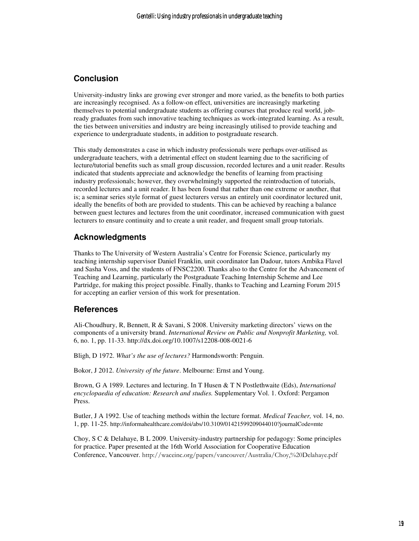# **Conclusion**

University-industry links are growing ever stronger and more varied, as the benefits to both parties are increasingly recognised. As a follow-on effect, universities are increasingly marketing themselves to potential undergraduate students as offering courses that produce real world, jobready graduates from such innovative teaching techniques as work-integrated learning. As a result, the ties between universities and industry are being increasingly utilised to provide teaching and experience to undergraduate students, in addition to postgraduate research.

This study demonstrates a case in which industry professionals were perhaps over-utilised as undergraduate teachers, with a detrimental effect on student learning due to the sacrificing of lecture/tutorial benefits such as small group discussion, recorded lectures and a unit reader. Results indicated that students appreciate and acknowledge the benefits of learning from practising industry professionals; however, they overwhelmingly supported the reintroduction of tutorials, recorded lectures and a unit reader. It has been found that rather than one extreme or another, that is; a seminar series style format of guest lecturers versus an entirely unit coordinator lectured unit, ideally the benefits of both are provided to students. This can be achieved by reaching a balance between guest lectures and lectures from the unit coordinator, increased communication with guest lecturers to ensure continuity and to create a unit reader, and frequent small group tutorials.

# **Acknowledgments**

Thanks to The University of Western Australia's Centre for Forensic Science, particularly my teaching internship supervisor Daniel Franklin, unit coordinator Ian Dadour, tutors Ambika Flavel and Sasha Voss, and the students of FNSC2200. Thanks also to the Centre for the Advancement of Teaching and Learning, particularly the Postgraduate Teaching Internship Scheme and Lee Partridge, for making this project possible. Finally, thanks to Teaching and Learning Forum 2015 for accepting an earlier version of this work for presentation.

## **References**

Ali-Choudhury, R, Bennett, R & Savani, S 2008. University marketing directors' views on the components of a university brand. *International Review on Public and Nonprofit Marketing,* vol. 6, no. 1, pp. 11-33. http://dx.doi.org/10.1007/s12208-008-0021-6

Bligh, D 1972. *What's the use of lectures?* Harmondsworth: Penguin.

Bokor, J 2012. *University of the future*. Melbourne: Ernst and Young.

Brown, G A 1989. Lectures and lecturing. In T Husen & T N Postlethwaite (Eds), *International encyclopaedia of education: Research and studies.* Supplementary Vol. 1. Oxford: Pergamon Press.

Butler, J A 1992. Use of teaching methods within the lecture format. *Medical Teacher,* vol. 14, no. 1, pp. 11-25. http://informahealthcare.com/doi/abs/10.3109/01421599209044010?journalCode=mte

Choy, S C & Delahaye, B L 2009. University-industry partnership for pedagogy: Some principles for practice. Paper presented at the 16th World Association for Cooperative Education Conference, Vancouver. http://waceinc.org/papers/vancouver/Australia/Choy,%20Delahaye.pdf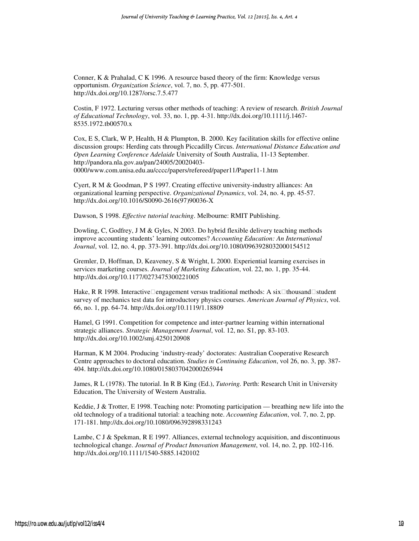Conner, K & Prahalad, C K 1996. A resource based theory of the firm: Knowledge versus opportunism. *Organization Science*, vol. 7, no. 5, pp. 477-501. http://dx.doi.org/10.1287/orsc.7.5.477

Costin, F 1972. Lecturing versus other methods of teaching: A review of research. *British Journal of Educational Technology*, vol. 33, no. 1, pp. 4-31. http://dx.doi.org/10.1111/j.1467- 8535.1972.tb00570.x

Cox, E S, Clark, W P, Health, H & Plumpton, B. 2000. Key facilitation skills for effective online discussion groups: Herding cats through Piccadilly Circus. *International Distance Education and Open Learning Conference Adelaide* University of South Australia, 11-13 September. http://pandora.nla.gov.au/pan/24005/20020403- 0000/www.com.unisa.edu.au/cccc/papers/refereed/paper11/Paper11-1.htm

Cyert, R M & Goodman, P S 1997. Creating effective university-industry alliances: An organizational learning perspective. *Organizational Dynamics*, vol. 24, no. 4, pp. 45-57. http://dx.doi.org/10.1016/S0090-2616(97)90036-X

Dawson, S 1998. *Effective tutorial teaching*. Melbourne: RMIT Publishing.

Dowling, C, Godfrey, J M & Gyles, N 2003. Do hybrid flexible delivery teaching methods improve accounting students' learning outcomes? *Accounting Education: An International Journal*, vol. 12, no. 4, pp. 373-391. http://dx.doi.org/10.1080/0963928032000154512

Gremler, D, Hoffman, D, Keaveney, S & Wright, L 2000. Experiential learning exercises in services marketing courses. *Journal of Marketing Education*, vol. 22, no. 1, pp. 35-44. http://dx.doi.org/10.1177/0273475300221005

Hake, R R 1998. Interactive engagement versus traditional methods: A six thousand student survey of mechanics test data for introductory physics courses. *American Journal of Physics*, vol. 66, no. 1, pp. 64-74. http://dx.doi.org/10.1119/1.18809

Hamel, G 1991. Competition for competence and inter-partner learning within international strategic alliances. *Strategic Management Journal*, vol. 12, no. S1, pp. 83-103. http://dx.doi.org/10.1002/smj.4250120908

Harman, K M 2004. Producing 'industry-ready' doctorates: Australian Cooperative Research Centre approaches to doctoral education. *Studies in Continuing Education*, vol 26, no. 3, pp. 387- 404. http://dx.doi.org/10.1080/0158037042000265944

James, R L (1978). The tutorial. In R B King (Ed.), *Tutoring.* Perth: Research Unit in University Education, The University of Western Australia.

Keddie, J & Trotter, E 1998. Teaching note: Promoting participation — breathing new life into the old technology of a traditional tutorial: a teaching note. *Accounting Education*, vol. 7, no. 2, pp. 171-181. http://dx.doi.org/10.1080/096392898331243

Lambe, C J & Spekman, R E 1997. Alliances, external technology acquisition, and discontinuous technological change. *Journal of Product Innovation Management*, vol. 14, no. 2, pp. 102-116. http://dx.doi.org/10.1111/1540-5885.1420102